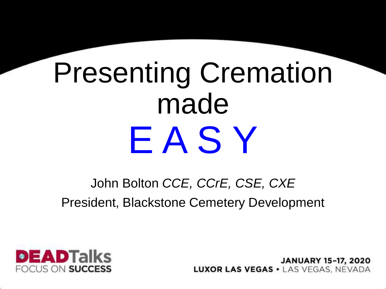# Presenting Cremation made E A S Y

#### John Bolton *CCE, CCrE, CSE, CXE* President, Blackstone Cemetery Development



**JANUARY 15-17, 2020 LUXOR LAS VEGAS · LAS VEGAS. NEVADA**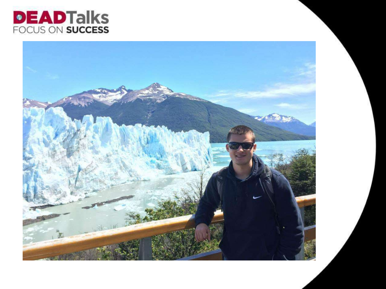

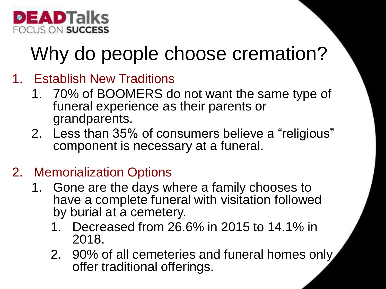

#### Why do people choose cremation?

- 1. Establish New Traditions
	- 1. 70% of BOOMERS do not want the same type of funeral experience as their parents or grandparents.
	- 2. Less than 35% of consumers believe a "religious" component is necessary at a funeral.

#### 2. Memorialization Options

- 1. Gone are the days where a family chooses to have a complete funeral with visitation followed by burial at a cemetery.
	- 1. Decreased from 26.6% in 2015 to 14.1% in 2018.
	- 2. 90% of all cemeteries and funeral homes only offer traditional offerings.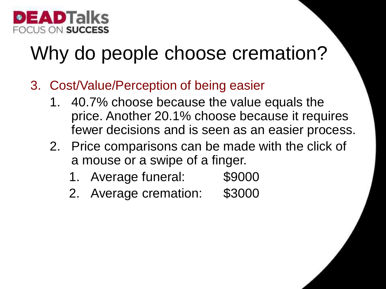

#### Why do people choose cremation?

- 3. Cost/Value/Perception of being easier
	- 1. 40.7% choose because the value equals the price. Another 20.1% choose because it requires fewer decisions and is seen as an easier process.
	- 2. Price comparisons can be made with the click of a mouse or a swipe of a finger.
		- 1. Average funeral: \$9000
		- 2. Average cremation: \$3000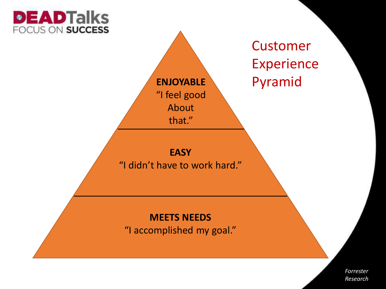

**ENJOYABLE** "I feel good About that."

Customer Experience Pyramid

#### **EASY**

"I didn't have to work hard."

#### **MEETS NEEDS** "I accomplished my goal."

*Forrester Research*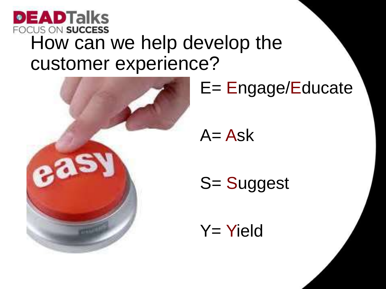



#### E= Engage/Educate

 $A = Ask$ 

S= Suggest

Y= Yield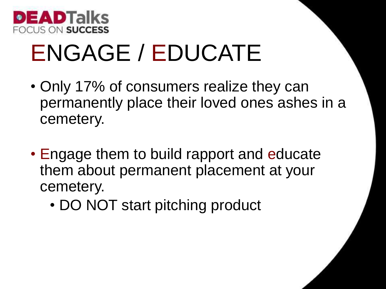

### ENGAGE / EDUCATE

- Only 17% of consumers realize they can permanently place their loved ones ashes in a cemetery.
- Engage them to build rapport and educate them about permanent placement at your cemetery.
	- DO NOT start pitching product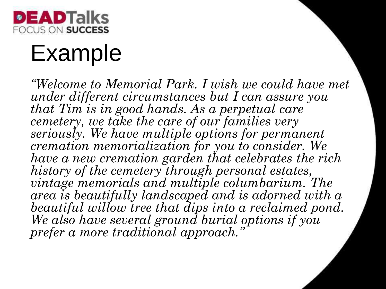

#### Example

*"Welcome to Memorial Park. I wish we could have met under different circumstances but I can assure you that Tim is in good hands. As a perpetual care cemetery, we take the care of our families very seriously. We have multiple options for permanent cremation memorialization for you to consider. We have a new cremation garden that celebrates the rich history of the cemetery through personal estates, vintage memorials and multiple columbarium. The area is beautifully landscaped and is adorned with a beautiful willow tree that dips into a reclaimed pond. We also have several ground burial options if you prefer a more traditional approach."*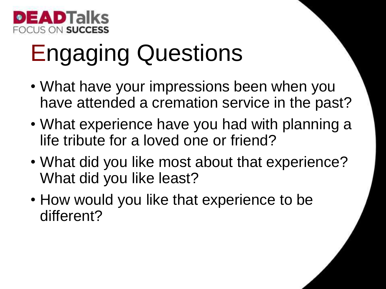

## Engaging Questions

- What have your impressions been when you have attended a cremation service in the past?
- What experience have you had with planning a life tribute for a loved one or friend?
- What did you like most about that experience? What did you like least?
- How would you like that experience to be different?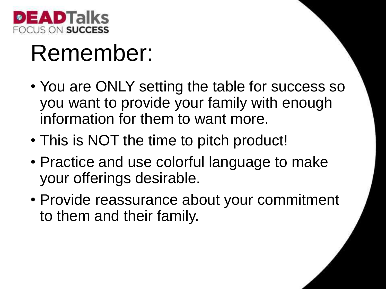

#### Remember:

- You are ONLY setting the table for success so you want to provide your family with enough information for them to want more.
- This is NOT the time to pitch product!
- Practice and use colorful language to make your offerings desirable.
- Provide reassurance about your commitment to them and their family.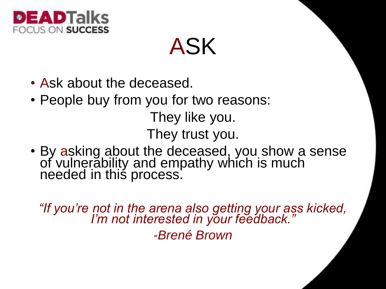

ASK

- Ask about the deceased.
- People buy from you for two reasons:

They like you.

They trust you.

• By asking about the deceased, you show a sense of vulnerability and empathy which is much needed in this process.

*"If you're not in the arena also getting your ass kicked, I'm not interested in your feedback." -Brené Brown*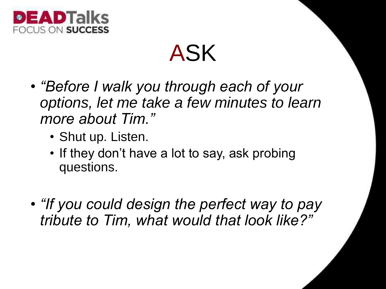

#### ASK

- *"Before I walk you through each of your options, let me take a few minutes to learn more about Tim."*
	- Shut up. Listen.
	- If they don't have a lot to say, ask probing questions.
- *"If you could design the perfect way to pay tribute to Tim, what would that look like?"*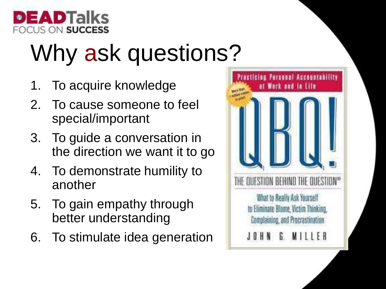

# Why ask questions?

- 1. To acquire knowledge
- 2. To cause someone to feel special/important
- 3. To guide a conversation in the direction we want it to go
- 4. To demonstrate humility to another
- 5. To gain empathy through better understanding
- 6. To stimulate idea generation

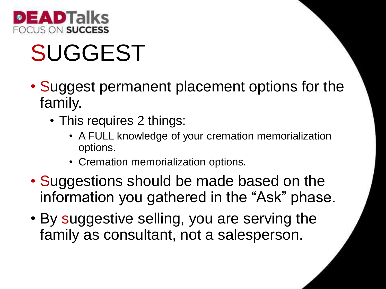

## SUGGEST

- Suggest permanent placement options for the family.
	- This requires 2 things:
		- A FULL knowledge of your cremation memorialization options.
		- Cremation memorialization options.
- Suggestions should be made based on the information you gathered in the "Ask" phase.
- By suggestive selling, you are serving the family as consultant, not a salesperson.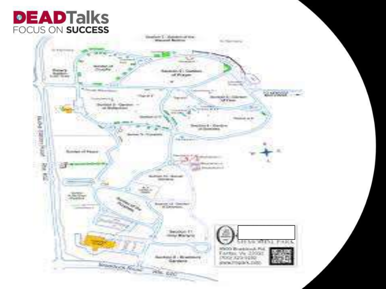#### **DEADTalks** FOCUS ON SUCCESS

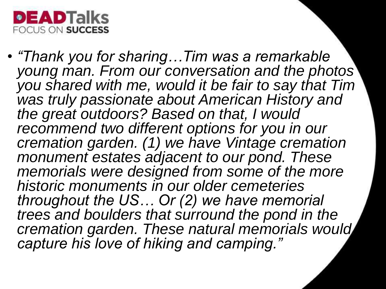

• *"Thank you for sharing…Tim was a remarkable young man. From our conversation and the photos you shared with me, would it be fair to say that Tim was truly passionate about American History and the great outdoors? Based on that, I would recommend two different options for you in our cremation garden. (1) we have Vintage cremation monument estates adjacent to our pond. These memorials were designed from some of the more historic monuments in our older cemeteries throughout the US… Or (2) we have memorial trees and boulders that surround the pond in the cremation garden. These natural memorials would capture his love of hiking and camping."*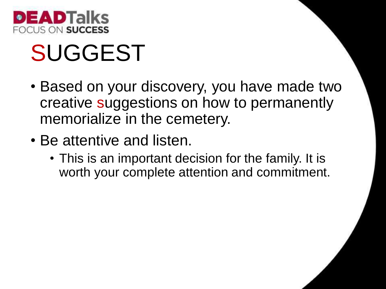

## SUGGEST

- Based on your discovery, you have made two creative suggestions on how to permanently memorialize in the cemetery.
- Be attentive and listen.
	- This is an important decision for the family. It is worth your complete attention and commitment.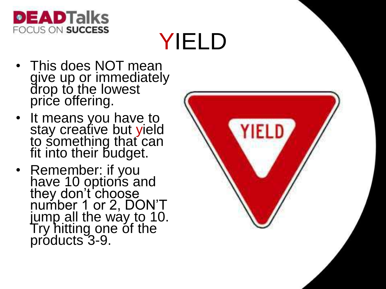

## YIELD

- This does NOT mean give up or immediately drop to the lowest price offering.
- It means you have to stay creative but yield to something that can fit into their budget.
- Remember: if you have 10 options and they don't choose number 1 or 2, DON'T jump all the way to 10. Try hitting one of the products 3-9.

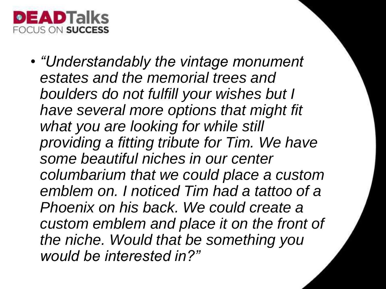

• *"Understandably the vintage monument estates and the memorial trees and boulders do not fulfill your wishes but I have several more options that might fit what you are looking for while still providing a fitting tribute for Tim. We have some beautiful niches in our center columbarium that we could place a custom emblem on. I noticed Tim had a tattoo of a Phoenix on his back. We could create a custom emblem and place it on the front of the niche. Would that be something you would be interested in?"*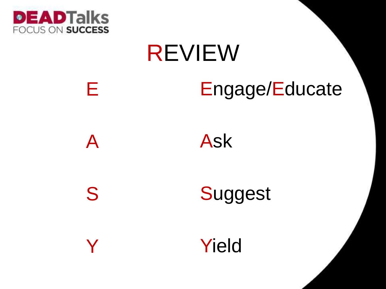

E

S

Y

# REVIEW Engage/Educate



**Suggest** 

Yield